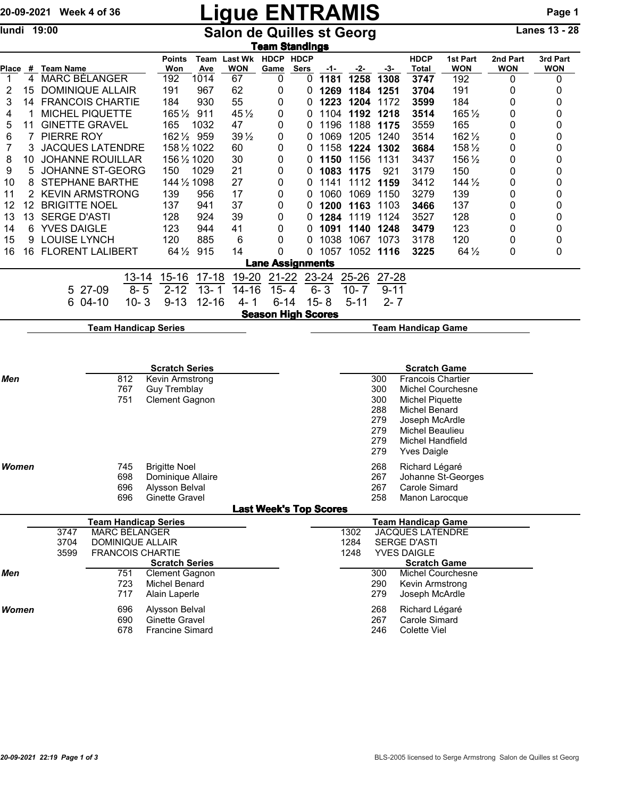## 20-09-2021 Week 4 of 36 **Ligue ENTRAMIS** Page 1

lundi 19:00 **Salon de Quilles st Georg** Lanes 13 - 28

| <u>Team Standings</u> |                 |                          |         |                                                     |                        |                                        |                                 |           |                               |          |                |           |                                                      |                                                      |                        |                        |  |
|-----------------------|-----------------|--------------------------|---------|-----------------------------------------------------|------------------------|----------------------------------------|---------------------------------|-----------|-------------------------------|----------|----------------|-----------|------------------------------------------------------|------------------------------------------------------|------------------------|------------------------|--|
| Place                 |                 | $#$ Team Name            |         |                                                     | <b>Points</b><br>Won   | Team<br>Ave                            | Last Wk HDCP HDCP<br><b>WON</b> | Game      | Sers                          | -1-      | -2-            | $-3-$     | <b>HDCP</b><br><b>Total</b>                          | 1st Part<br><b>WON</b>                               | 2nd Part<br><b>WON</b> | 3rd Part<br><b>WON</b> |  |
| $\overline{1}$        | 4               | <b>MARC BÉLANGER</b>     |         |                                                     | 192                    | 1014                                   | 67                              | 0         | 0                             | 1181     | 1258           | 1308      | 3747                                                 | 192                                                  | 0                      | 0                      |  |
| 2                     | 15              | <b>DOMINIQUE ALLAIR</b>  |         |                                                     | 191                    | 967                                    | 62                              | 0         | 0                             | 1269     | 1184 1251      |           | 3704                                                 | 191                                                  | 0                      | 0                      |  |
| 3                     | 14              | <b>FRANCOIS CHARTIE</b>  |         |                                                     | 184                    | 930                                    | 55                              | 0         | 0                             |          | 1223 1204 1172 |           | 3599                                                 | 184                                                  | 0                      | 0                      |  |
| 4                     |                 | <b>MICHEL PIQUETTE</b>   |         |                                                     | 1651/2 911             |                                        | 45 $\frac{1}{2}$                | 0         | 0                             |          | 1104 1192 1218 |           | 3514                                                 | 165 1/2                                              | 0                      | 0                      |  |
| 5                     | 11              | <b>GINETTE GRAVEL</b>    |         |                                                     | 165                    | 1032                                   | 47                              | 0         | 0                             | 1196     |                | 1188 1175 | 3559                                                 | 165                                                  | 0                      | 0                      |  |
| 6                     | 7               | PIERRE ROY               |         |                                                     | 162 1/2 959            |                                        | $39\frac{1}{2}$                 | 0         | 0                             | 1069     |                | 1205 1240 | 3514                                                 | 162 1/2                                              | 0                      | 0                      |  |
| 7                     | 3               | <b>JACQUES LATENDRE</b>  |         |                                                     | 158 1/2 1022           |                                        | 60                              | 0         | 0                             | 1158     |                | 1224 1302 | 3684                                                 | 158 1/2                                              | 0                      | 0                      |  |
| 8                     | 10              | <b>JOHANNE ROUILLAR</b>  |         |                                                     | 156 1/2 1020           |                                        | 30                              | 0         | 0                             | 1150     | 1156           | 1131      | 3437                                                 | 156 1/2                                              | 0                      | 0                      |  |
| 9                     | 5               | JOHANNE ST-GEORG         |         |                                                     | 150                    | 1029                                   | 21                              | 0         | 0                             | 1083     | 1175           | 921       | 3179                                                 | 150                                                  | 0                      | 0                      |  |
| 10                    | 8               | <b>STEPHANE BARTHE</b>   |         |                                                     | 144 1/2 1098           |                                        | 27                              | 0         | 0                             | 1141     |                | 1112 1159 | 3412                                                 | $144\frac{1}{2}$                                     | 0                      | 0                      |  |
| 11                    | 2               | <b>KEVIN ARMSTRONG</b>   |         |                                                     | 139                    | 956                                    | 17                              | 0         | 0                             | 1060     | 1069           | 1150      | 3279                                                 | 139                                                  | 0                      | 0                      |  |
| 12                    | 12 <sup>2</sup> | <b>BRIGITTE NOEL</b>     |         |                                                     | 137                    | 941                                    | 37                              | 0         | 0                             | 1200     | 1163           | 1103      | 3466                                                 | 137                                                  | 0                      | 0                      |  |
| 13                    |                 | 13 SERGE D'ASTI          |         |                                                     | 128                    | 924                                    | 39                              | 0         | 0                             |          | 1284 1119 1124 |           | 3527                                                 | 128                                                  | 0                      | 0                      |  |
| 14                    | 6               | <b>YVES DAIGLE</b>       |         |                                                     | 123                    | 944                                    | 41                              | 0         | 0                             |          | 1091 1140 1248 |           | 3479                                                 | 123                                                  | 0                      | 0                      |  |
| 15                    | 9               | <b>LOUISE LYNCH</b>      |         |                                                     | 120                    | 885                                    | 6                               | 0         | 0                             |          | 1038 1067 1073 |           | 3178                                                 | 120                                                  | 0                      | 0                      |  |
| 16                    | 16              | <b>FLORENT LALIBERT</b>  |         |                                                     |                        | 64 1/2 915                             | 14                              | 0         | 0                             |          | 1057 1052 1116 |           | 3225                                                 | $64\frac{1}{2}$                                      | 0                      | 0                      |  |
|                       |                 |                          |         |                                                     |                        |                                        |                                 |           | <b>Lane Assignments</b>       |          |                |           |                                                      |                                                      |                        |                        |  |
|                       |                 |                          |         | $13 - 14$                                           | $15 - 16$              | $17 - 18$                              | 19-20                           | $21 - 22$ |                               | 23-24    | $25 - 26$      | 27-28     |                                                      |                                                      |                        |                        |  |
|                       |                 |                          | 5 27-09 | $8 - 5$                                             | $2 - 12$               | $13 - 1$                               | 14-16                           | $15 - 4$  |                               | $6 - 3$  | $10 - 7$       | $9 - 11$  |                                                      |                                                      |                        |                        |  |
|                       |                 |                          | 6 04-10 | $10 - 3$                                            | $9 - 13$               | $12 - 16$                              | $4 - 1$                         | $6 - 14$  |                               | $15 - 8$ | $5 - 11$       | $2 - 7$   |                                                      |                                                      |                        |                        |  |
|                       |                 |                          |         |                                                     |                        |                                        |                                 |           | <b>Season High Scores</b>     |          |                |           |                                                      |                                                      |                        |                        |  |
|                       |                 |                          |         | <b>Team Handicap Series</b>                         |                        |                                        |                                 |           |                               |          |                |           |                                                      |                                                      |                        |                        |  |
|                       |                 |                          |         |                                                     |                        |                                        |                                 |           |                               |          |                |           |                                                      |                                                      |                        |                        |  |
|                       |                 |                          |         |                                                     |                        |                                        |                                 |           |                               |          |                |           |                                                      |                                                      |                        |                        |  |
| Men                   |                 | <b>Scratch Series</b>    |         |                                                     |                        |                                        |                                 |           |                               |          |                | 300       | <b>Scratch Game</b>                                  |                                                      |                        |                        |  |
|                       |                 |                          |         | 812<br>767                                          |                        | Kevin Armstrong<br><b>Guy Tremblay</b> |                                 |           |                               | 300      |                |           |                                                      | <b>Francois Chartier</b><br><b>Michel Courchesne</b> |                        |                        |  |
|                       |                 |                          |         | 751                                                 | <b>Clement Gagnon</b>  |                                        |                                 |           |                               |          |                | 300       | Michel Piquette                                      |                                                      |                        |                        |  |
|                       |                 |                          |         |                                                     |                        |                                        |                                 |           |                               |          |                | 288       | Michel Benard                                        |                                                      |                        |                        |  |
|                       |                 |                          |         |                                                     |                        |                                        |                                 |           |                               |          |                | 279       | Joseph McArdle                                       |                                                      |                        |                        |  |
|                       |                 |                          |         |                                                     |                        |                                        |                                 |           |                               |          |                | 279       | Michel Beaulieu                                      |                                                      |                        |                        |  |
|                       |                 |                          |         |                                                     |                        |                                        |                                 |           |                               |          |                | 279       | <b>Michel Handfield</b>                              |                                                      |                        |                        |  |
|                       |                 |                          |         |                                                     |                        |                                        |                                 |           |                               |          |                | 279       | <b>Yves Daigle</b>                                   |                                                      |                        |                        |  |
| Women                 |                 |                          |         | 745                                                 | <b>Brigitte Noel</b>   |                                        |                                 |           |                               |          |                | 268       | Richard Légaré                                       |                                                      |                        |                        |  |
|                       |                 | 698<br>Dominique Allaire |         |                                                     |                        |                                        |                                 |           |                               |          |                | 267       |                                                      | Johanne St-Georges                                   |                        |                        |  |
|                       |                 |                          |         | 696                                                 | Alysson Belval         |                                        |                                 |           |                               |          |                | 267       | Carole Simard                                        |                                                      |                        |                        |  |
|                       |                 |                          |         | 696                                                 | <b>Ginette Gravel</b>  |                                        |                                 |           |                               |          |                | 258       | Manon Larocque                                       |                                                      |                        |                        |  |
|                       |                 |                          |         |                                                     |                        |                                        |                                 |           | <b>Last Week's Top Scores</b> |          |                |           |                                                      |                                                      |                        |                        |  |
|                       |                 | 3747                     |         | <b>Team Handicap Series</b><br><b>MARC BÉLANGER</b> |                        |                                        |                                 |           |                               |          | 1302           |           | <b>Team Handicap Game</b><br><b>JACQUES LATENDRE</b> |                                                      |                        |                        |  |
|                       |                 | 3704                     |         |                                                     |                        |                                        | 1284                            |           | <b>SERGE D'ASTI</b>           |          |                |           |                                                      |                                                      |                        |                        |  |
|                       |                 | 3599                     |         | <b>DOMINIQUE ALLAIR</b><br><b>FRANCOIS CHARTIE</b>  |                        |                                        |                                 |           |                               |          | 1248           |           | <b>YVES DAIGLE</b>                                   |                                                      |                        |                        |  |
|                       |                 |                          |         |                                                     | <b>Scratch Series</b>  |                                        |                                 |           |                               |          |                |           | <b>Scratch Game</b>                                  |                                                      |                        |                        |  |
| Men                   |                 |                          |         | 751                                                 | <b>Clement Gagnon</b>  |                                        |                                 |           |                               |          |                | 300       |                                                      | <b>Michel Courchesne</b>                             |                        |                        |  |
|                       |                 |                          |         | 723                                                 | <b>Michel Benard</b>   |                                        |                                 |           |                               |          |                | 290       | Kevin Armstrong                                      |                                                      |                        |                        |  |
|                       |                 |                          |         | 717                                                 | Alain Laperle          |                                        |                                 |           |                               |          |                | 279       | Joseph McArdle                                       |                                                      |                        |                        |  |
| Women                 |                 |                          |         | 696                                                 | Alysson Belval         |                                        |                                 |           |                               |          |                | 268       | Richard Légaré                                       |                                                      |                        |                        |  |
|                       |                 |                          |         | 690                                                 | <b>Ginette Gravel</b>  |                                        |                                 |           |                               |          |                | 267       | Carole Simard                                        |                                                      |                        |                        |  |
|                       |                 |                          |         | 678                                                 | <b>Francine Simard</b> |                                        |                                 |           |                               |          |                | 246       | <b>Colette Viel</b>                                  |                                                      |                        |                        |  |
|                       |                 |                          |         |                                                     |                        |                                        |                                 |           |                               |          |                |           |                                                      |                                                      |                        |                        |  |
|                       |                 |                          |         |                                                     |                        |                                        |                                 |           |                               |          |                |           |                                                      |                                                      |                        |                        |  |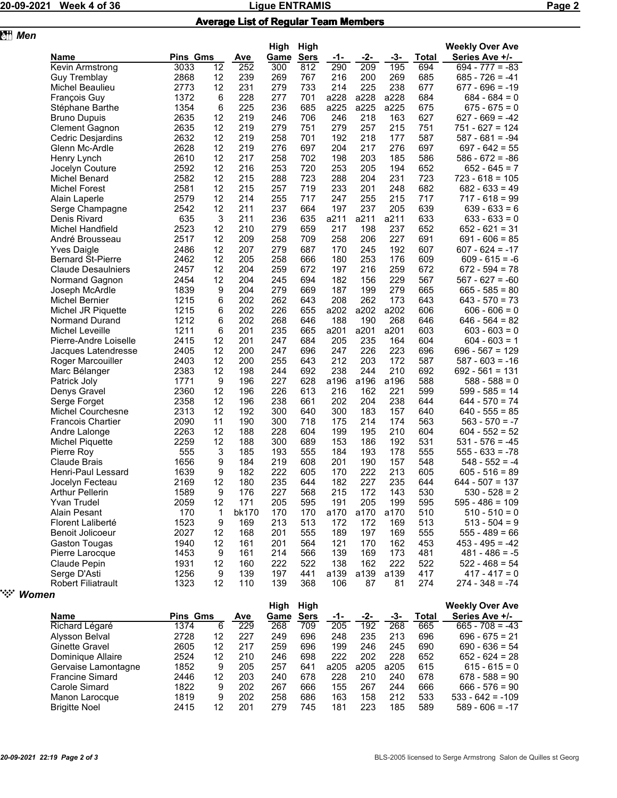**z** *Men* 

## 20-09-2021 Week 4 of 36 Ligue ENTRAMIS Page 2

|  |  | <b>Average List of Regular Team Members</b> |
|--|--|---------------------------------------------|
|  |  |                                             |

|                                           |                 | High<br>High |            |            |             |             |            |            | <b>Weekly Over Ave</b> |                                       |  |
|-------------------------------------------|-----------------|--------------|------------|------------|-------------|-------------|------------|------------|------------------------|---------------------------------------|--|
| Name                                      | <b>Pins Gms</b> |              | Ave        | Game       | <b>Sers</b> | -1-         | -2-        | -3-        | Total                  | Series Ave +/-                        |  |
| Kevin Armstrong                           | 3033            | 12           | 252        | 300        | 812         | 290         | 209        | 195        | 694                    | $694 - 777 = -83$                     |  |
| Guy Tremblay                              | 2868            | 12           | 239        | 269        | 767         | 216         | 200        | 269        | 685                    | $685 - 726 = -41$                     |  |
| Michel Beaulieu                           | 2773            | 12           | 231        | 279        | 733         | 214         | 225        | 238        | 677                    | $677 - 696 = -19$                     |  |
| <b>François Guy</b>                       | 1372            | 6            | 228        | 277        | 701         | a228        | a228       | a228       | 684                    | $684 - 684 = 0$                       |  |
| Stéphane Barthe                           | 1354            | 6            | 225        | 236        | 685         | a225        | a225       | a225       | 675                    | $675 - 675 = 0$                       |  |
| <b>Bruno Dupuis</b>                       | 2635            | 12           | 219        | 246        | 706         | 246         | 218        | 163        | 627                    | $627 - 669 = -42$                     |  |
| <b>Clement Gagnon</b>                     | 2635            | 12           | 219        | 279        | 751         | 279         | 257        | 215        | 751                    | $751 - 627 = 124$                     |  |
| Cedric Desjardins                         | 2632            | 12           | 219        | 258        | 701         | 192         | 218        | 177        | 587                    | $587 - 681 = -94$                     |  |
| Glenn Mc-Ardle                            | 2628            | 12           | 219        | 276        | 697         | 204         | 217        | 276        | 697                    | $697 - 642 = 55$                      |  |
| Henry Lynch                               | 2610            | 12           | 217        | 258        | 702         | 198         | 203        | 185        | 586                    | $586 - 672 = -86$                     |  |
| Jocelyn Couture                           | 2592            | 12           | 216        | 253        | 720         | 253         | 205        | 194        | 652                    | $652 - 645 = 7$                       |  |
| Michel Benard                             | 2582            | 12           | 215        | 288        | 723         | 288         | 204        | 231        | 723                    | $723 - 618 = 105$                     |  |
| <b>Michel Forest</b>                      | 2581            | 12           | 215        | 257        | 719         | 233         | 201        | 248        | 682                    | $682 - 633 = 49$                      |  |
| Alain Laperle                             | 2579            | 12           | 214        | 255        | 717         | 247         | 255        | 215        | 717                    | $717 - 618 = 99$                      |  |
| Serge Champagne                           | 2542            | 12           | 211        | 237        | 664         | 197         | 237        | 205        | 639                    | $639 - 633 = 6$                       |  |
| Denis Rivard                              | 635             | 3            | 211        | 236        | 635         | a211        | a211       | a211       | 633                    | $633 - 633 = 0$                       |  |
| <b>Michel Handfield</b>                   | 2523            | 12           | 210        | 279        | 659         | 217         | 198        | 237        | 652                    | $652 - 621 = 31$                      |  |
| André Brousseau                           | 2517            | 12           | 209        | 258        | 709         | 258         | 206        | 227        | 691                    | $691 - 606 = 85$                      |  |
| <b>Yves Daigle</b>                        | 2486            | 12           | 207        | 279        | 687         | 170         | 245        | 192        | 607                    | $607 - 624 = -17$                     |  |
| <b>Bernard St-Pierre</b>                  | 2462            | 12           | 205        | 258        | 666         | 180         | 253        | 176        | 609                    | $609 - 615 = -6$                      |  |
| <b>Claude Desaulniers</b>                 | 2457            | 12           | 204        | 259        | 672         | 197         | 216        | 259        | 672                    | $672 - 594 = 78$                      |  |
|                                           | 2454            | 12           | 204        | 245        | 694         |             |            | 229        | 567                    |                                       |  |
| Normand Gagnon                            |                 |              |            |            |             | 182         | 156        |            |                        | $567 - 627 = -60$<br>$665 - 585 = 80$ |  |
| Joseph McArdle                            | 1839            | 9            | 204        | 279        | 669         | 187         | 199        | 279        | 665                    |                                       |  |
| Michel Bernier                            | 1215            | 6            | 202        | 262        | 643         | 208         | 262        | 173        | 643                    | $643 - 570 = 73$                      |  |
| Michel JR Piquette                        | 1215            | 6            | 202        | 226        | 655         | a202        | a202       | a202       | 606                    | $606 - 606 = 0$<br>$646 - 564 = 82$   |  |
| Normand Durand                            | 1212            | 6            | 202        | 268        | 646         | 188         | 190        | 268        | 646                    |                                       |  |
| Michel Leveille                           | 1211            | 6            | 201        | 235        | 665         | a201        | a201       | a201       | 603                    | $603 - 603 = 0$                       |  |
| Pierre-Andre Loiselle                     | 2415            | 12           | 201        | 247        | 684         | 205         | 235        | 164        | 604                    | $604 - 603 = 1$                       |  |
| Jacques Latendresse                       | 2405            | 12           | 200        | 247        | 696         | 247         | 226        | 223        | 696                    | $696 - 567 = 129$                     |  |
| Roger Marcouiller                         | 2403            | 12           | 200        | 255        | 643         | 212         | 203        | 172        | 587                    | $587 - 603 = -16$                     |  |
| Marc Bélanger                             | 2383            | 12           | 198        | 244        | 692         | 238         | 244        | 210        | 692                    | $692 - 561 = 131$                     |  |
| Patrick Joly                              | 1771            | 9            | 196        | 227        | 628         | a196        | a196       | a196       | 588                    | $588 - 588 = 0$                       |  |
| Denys Gravel                              | 2360            | 12           | 196        | 226        | 613         | 216         | 162        | 221        | 599                    | $599 - 585 = 14$                      |  |
| Serge Forget                              | 2358            | 12           | 196        | 238        | 661         | 202         | 204        | 238        | 644                    | $644 - 570 = 74$                      |  |
| <b>Michel Courchesne</b>                  | 2313            | 12           | 192        | 300        | 640         | 300         | 183        | 157        | 640                    | $640 - 555 = 85$                      |  |
| <b>Francois Chartier</b>                  | 2090            | 11           | 190        | 300        | 718         | 175         | 214        | 174        | 563                    | $563 - 570 = -7$                      |  |
| Andre Lalonge                             | 2263            | 12           | 188        | 228        | 604         | 199         | 195        | 210        | 604                    | $604 - 552 = 52$                      |  |
| <b>Michel Piquette</b>                    | 2259            | 12           | 188        | 300        | 689         | 153         | 186        | 192        | 531                    | $531 - 576 = -45$                     |  |
| Pierre Roy                                | 555             | 3            | 185        | 193        | 555         | 184         | 193        | 178        | 555                    | $555 - 633 = -78$                     |  |
| Claude Brais                              | 1656            | 9            | 184        | 219        | 608         | 201         | 190        | 157        | 548                    | $548 - 552 = -4$                      |  |
| Henri-Paul Lessard                        | 1639            | 9            | 182        | 222        | 605         | 170         | 222        | 213        | 605                    | $605 - 516 = 89$                      |  |
| Jocelyn Fecteau                           | 2169            | 12           | 180        | 235        | 644         | 182         | 227        | 235        | 644                    | $644 - 507 = 137$                     |  |
| Arthur Pellerin                           | 1589            | 9            | 176        | 227        | 568         | 215         | 172        | 143        | 530                    | $530 - 528 = 2$                       |  |
| Yvan Trudel                               | 2059            | 12           | 171        | 205        | 595         | 191         | 205        | 199        | 595                    | $595 - 486 = 109$                     |  |
| Alain Pesant                              | 170             | 1            | bk170      | 170        | 170         | a170        | a170       | a170       | 510                    | $510 - 510 = 0$                       |  |
| Florent Laliberté                         | 1523            | 9            | 169        | 213        | 513         | 172         | 172        | 169        | 513                    | $513 - 504 = 9$                       |  |
| <b>Benoit Jolicoeur</b>                   | 2027            | 12           | 168        | 201        | 555         | 189         | 197        | 169        | 555                    | $555 - 489 = 66$                      |  |
| <b>Gaston Tougas</b>                      | 1940            | 12           | 161        | 201        | 564         | 121         | 170        | 162        | 453                    | $453 - 495 = -42$                     |  |
| Pierre Larocque                           | 1453            | 9            | 161        | 214        | 566         | 139         | 169        | 173        | 481                    | $481 - 486 = -5$                      |  |
| Claude Pepin                              | 1931            | 12           | 160        | 222        | 522         | 138         | 162        | 222        | 522                    | $522 - 468 = 54$                      |  |
|                                           |                 |              |            |            |             |             |            |            |                        |                                       |  |
|                                           |                 |              |            |            |             |             |            |            |                        |                                       |  |
| Serge D'Asti<br><b>Robert Filiatrault</b> | 1256<br>1323    | 9<br>12      | 139<br>110 | 197<br>139 | 441<br>368  | a139<br>106 | a139<br>87 | a139<br>81 | 417<br>274             | $417 - 417 = 0$<br>$274 - 348 = -74$  |  |

|                        |                 |    |     | High | High        |      |      |      |       | <b>Weekly Over Ave</b> |
|------------------------|-----------------|----|-----|------|-------------|------|------|------|-------|------------------------|
| <b>Name</b>            | <b>Pins Gms</b> |    | Ave | Game | <b>Sers</b> | -1-  | -2-  | -3-  | Total | Series Ave +/-         |
| Richard Légaré         | 1374            | 6  | 229 | 268  | 709         | 205  | 192  | 268  | 665   | $665 - 708 = -43$      |
| Alysson Belval         | 2728            | 12 | 227 | 249  | 696         | 248  | 235  | 213  | 696   | $696 - 675 = 21$       |
| Ginette Gravel         | 2605            | 12 | 217 | 259  | 696         | 199  | 246  | 245  | 690   | $690 - 636 = 54$       |
| Dominique Allaire      | 2524            | 12 | 210 | 246  | 698         | 222  | 202  | 228  | 652   | $652 - 624 = 28$       |
| Gervaise Lamontagne    | 1852            | 9  | 205 | 257  | 641         | a205 | a205 | a205 | 615   | $615 - 615 = 0$        |
| <b>Francine Simard</b> | 2446            | 12 | 203 | 240  | 678         | 228  | 210  | 240  | 678   | $678 - 588 = 90$       |
| Carole Simard          | 1822            | 9  | 202 | 267  | 666         | 155  | 267  | 244  | 666   | $666 - 576 = 90$       |
| Manon Larocque         | 1819            | 9  | 202 | 258  | 686         | 163  | 158  | 212  | 533   | $533 - 642 = -109$     |
| <b>Brigitte Noel</b>   | 2415            | 12 | 201 | 279  | 745         | 181  | 223  | 185  | 589   | $589 - 606 = -17$      |